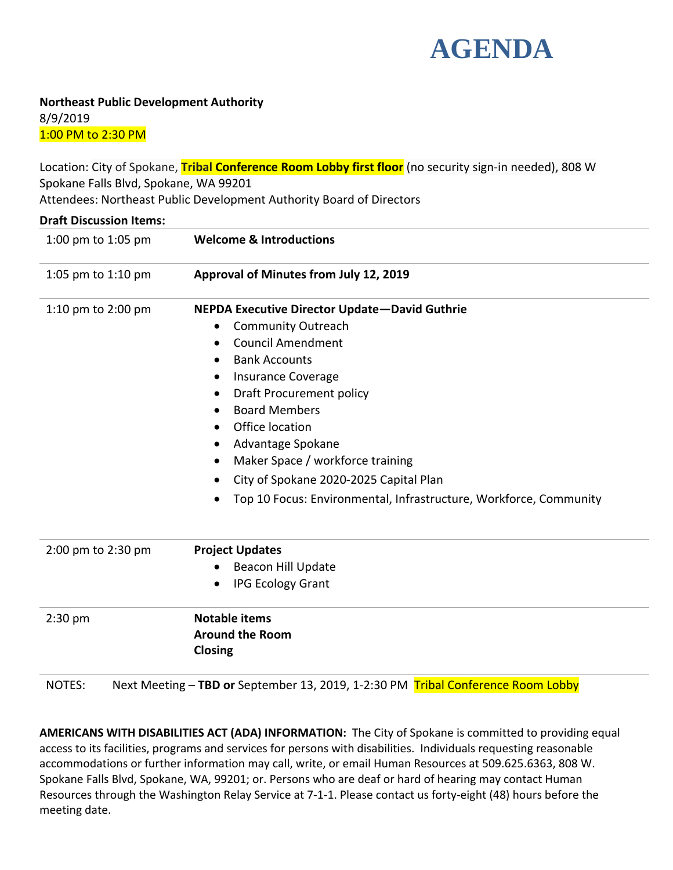

**Northeast Public Development Authority** 8/9/2019 1:00 PM to 2:30 PM

Location: City of Spokane, **Tribal Conference Room Lobby first floor** (no security sign-in needed), 808 W Spokane Falls Blvd, Spokane, WA 99201 Attendees: Northeast Public Development Authority Board of Directors

| <b>Draft Discussion Items:</b> |                                                                   |
|--------------------------------|-------------------------------------------------------------------|
| 1:00 pm to 1:05 pm             | <b>Welcome &amp; Introductions</b>                                |
| 1:05 pm to 1:10 pm             | Approval of Minutes from July 12, 2019                            |
| 1:10 pm to 2:00 pm             | NEPDA Executive Director Update-David Guthrie                     |
|                                | <b>Community Outreach</b>                                         |
|                                | <b>Council Amendment</b><br>$\bullet$                             |
|                                | <b>Bank Accounts</b><br>$\bullet$                                 |
|                                | <b>Insurance Coverage</b><br>٠                                    |
|                                | <b>Draft Procurement policy</b><br>٠                              |
|                                | <b>Board Members</b>                                              |
|                                | Office location                                                   |
|                                | Advantage Spokane<br>٠                                            |
|                                | Maker Space / workforce training<br>$\bullet$                     |
|                                | City of Spokane 2020-2025 Capital Plan                            |
|                                | Top 10 Focus: Environmental, Infrastructure, Workforce, Community |
| 2:00 pm to 2:30 pm             | <b>Project Updates</b>                                            |
|                                | <b>Beacon Hill Update</b>                                         |
|                                | <b>IPG Ecology Grant</b>                                          |
| $2:30$ pm                      | <b>Notable items</b>                                              |
|                                | <b>Around the Room</b><br>Closing                                 |

**AMERICANS WITH DISABILITIES ACT (ADA) INFORMATION:** The City of Spokane is committed to providing equal access to its facilities, programs and services for persons with disabilities. Individuals requesting reasonable accommodations or further information may call, write, or email Human Resources at 509.625.6363, 808 W. Spokane Falls Blvd, Spokane, WA, 99201; or. Persons who are deaf or hard of hearing may contact Human Resources through the Washington Relay Service at 7-1-1. Please contact us forty-eight (48) hours before the meeting date.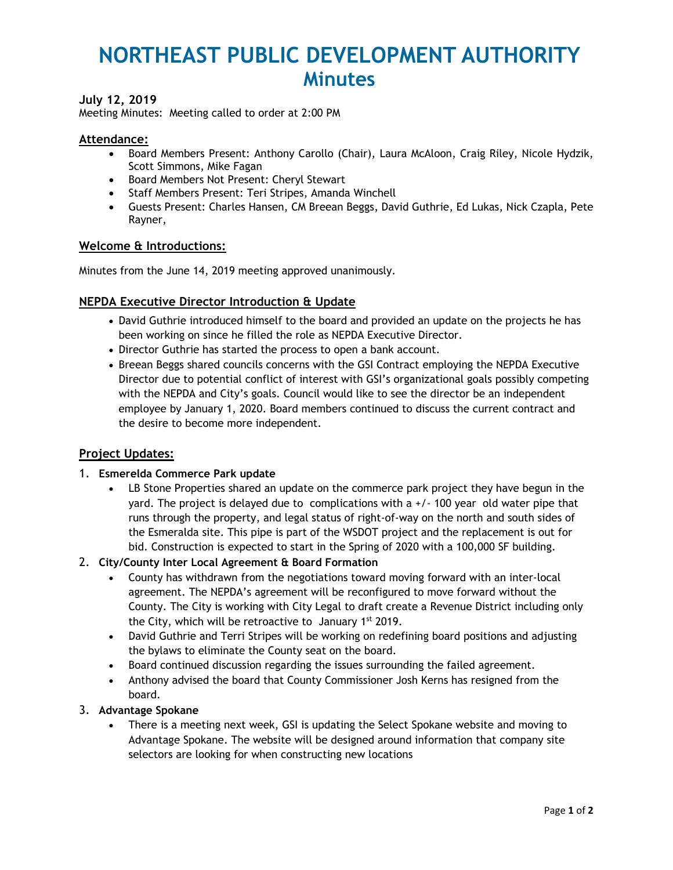# **NORTHEAST PUBLIC DEVELOPMENT AUTHORITY Minutes**

# **July 12, 2019**

Meeting Minutes: Meeting called to order at 2:00 PM

### **Attendance:**

- Board Members Present: Anthony Carollo (Chair), Laura McAloon, Craig Riley, Nicole Hydzik, Scott Simmons, Mike Fagan
- Board Members Not Present: Cheryl Stewart
- Staff Members Present: Teri Stripes, Amanda Winchell
- Guests Present: Charles Hansen, CM Breean Beggs, David Guthrie, Ed Lukas, Nick Czapla, Pete Rayner,

#### **Welcome & Introductions:**

Minutes from the June 14, 2019 meeting approved unanimously.

### **NEPDA Executive Director Introduction & Update**

- David Guthrie introduced himself to the board and provided an update on the projects he has been working on since he filled the role as NEPDA Executive Director.
- Director Guthrie has started the process to open a bank account.
- Breean Beggs shared councils concerns with the GSI Contract employing the NEPDA Executive Director due to potential conflict of interest with GSI's organizational goals possibly competing with the NEPDA and City's goals. Council would like to see the director be an independent employee by January 1, 2020. Board members continued to discuss the current contract and the desire to become more independent.

### **Project Updates:**

#### 1. **Esmerelda Commerce Park update**

 LB Stone Properties shared an update on the commerce park project they have begun in the yard. The project is delayed due to complications with a +/- 100 year old water pipe that runs through the property, and legal status of right-of-way on the north and south sides of the Esmeralda site. This pipe is part of the WSDOT project and the replacement is out for bid. Construction is expected to start in the Spring of 2020 with a 100,000 SF building.

### 2. **City/County Inter Local Agreement & Board Formation**

- County has withdrawn from the negotiations toward moving forward with an inter-local agreement. The NEPDA's agreement will be reconfigured to move forward without the County. The City is working with City Legal to draft create a Revenue District including only the City, which will be retroactive to January 1st 2019.
- David Guthrie and Terri Stripes will be working on redefining board positions and adjusting the bylaws to eliminate the County seat on the board.
- Board continued discussion regarding the issues surrounding the failed agreement.
- Anthony advised the board that County Commissioner Josh Kerns has resigned from the board.

### 3. **Advantage Spokane**

 There is a meeting next week, GSI is updating the Select Spokane website and moving to Advantage Spokane. The website will be designed around information that company site selectors are looking for when constructing new locations